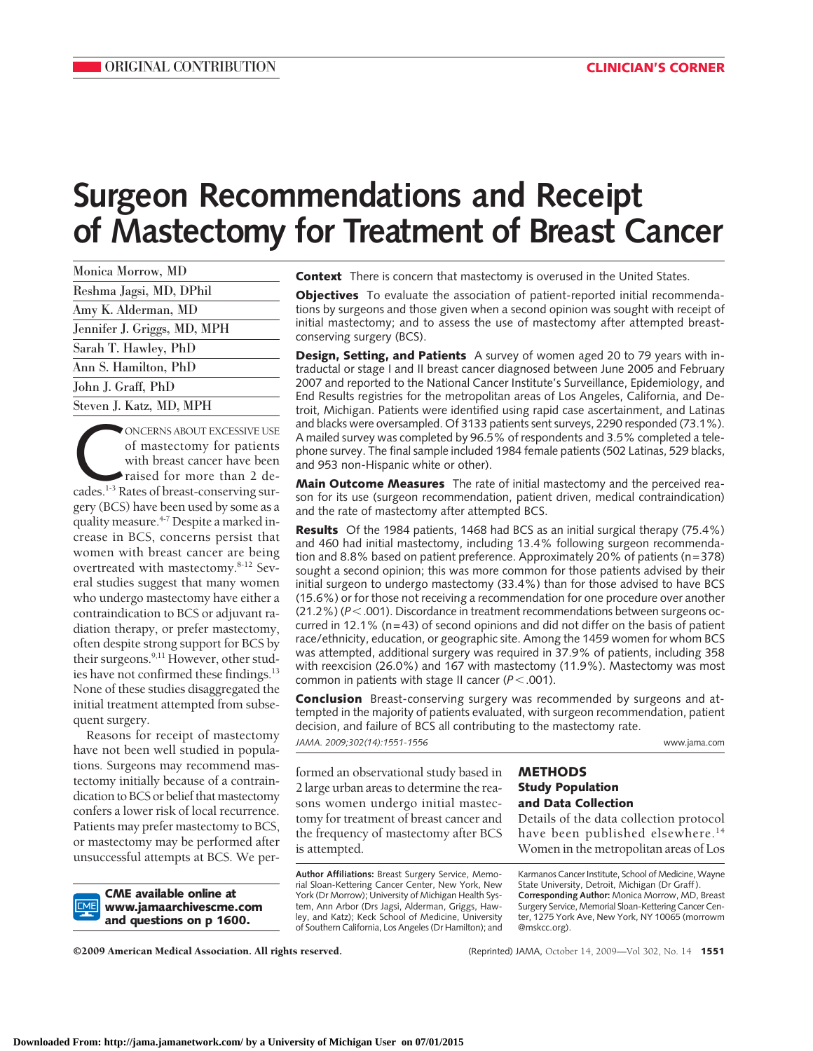# **Surgeon Recommendations and Receipt of Mastectomy for Treatment of Breast Cancer**

| Monica Morrow, MD           |
|-----------------------------|
| Reshma Jagsi, MD, DPhil     |
| Amy K. Alderman, MD         |
| Jennifer J. Griggs, MD, MPH |
| Sarah T. Hawley, PhD        |
| Ann S. Hamilton, PhD        |
| John J. Graff, PhD          |
| Steven J. Katz, MD, MPH     |
|                             |

ONCERNS ABOUT EXCESSIVE USE<br>
of mastectomy for patients<br>
with breast cancer have been<br>
raised for more than 2 de-<br>
cades.<sup>1-3</sup> Rates of breast-conserving surof mastectomy for patients with breast cancer have been raised for more than 2 degery (BCS) have been used by some as a quality measure.<sup>4-7</sup> Despite a marked increase in BCS, concerns persist that women with breast cancer are being overtreated with mastectomy.8-12 Several studies suggest that many women who undergo mastectomy have either a contraindication to BCS or adjuvant radiation therapy, or prefer mastectomy, often despite strong support for BCS by their surgeons.<sup>9,11</sup> However, other studies have not confirmed these findings.<sup>13</sup> None of these studies disaggregated the initial treatment attempted from subsequent surgery.

Reasons for receipt of mastectomy have not been well studied in populations. Surgeons may recommend mastectomy initially because of a contraindication to BCS or belief that mastectomy confers a lower risk of local recurrence. Patients may prefer mastectomy to BCS, or mastectomy may be performed after unsuccessful attempts at BCS. We per-

**CME available online at www.jamaarchivescme.com and questions on p 1600.**

**Context** There is concern that mastectomy is overused in the United States.

**Objectives** To evaluate the association of patient-reported initial recommendations by surgeons and those given when a second opinion was sought with receipt of initial mastectomy; and to assess the use of mastectomy after attempted breastconserving surgery (BCS).

**Design, Setting, and Patients** A survey of women aged 20 to 79 years with intraductal or stage I and II breast cancer diagnosed between June 2005 and February 2007 and reported to the National Cancer Institute's Surveillance, Epidemiology, and End Results registries for the metropolitan areas of Los Angeles, California, and Detroit, Michigan. Patients were identified using rapid case ascertainment, and Latinas and blacks were oversampled. Of 3133 patients sent surveys, 2290 responded (73.1%). A mailed survey was completed by 96.5% of respondents and 3.5% completed a telephone survey. The final sample included 1984 female patients (502 Latinas, 529 blacks, and 953 non-Hispanic white or other).

**Main Outcome Measures** The rate of initial mastectomy and the perceived reason for its use (surgeon recommendation, patient driven, medical contraindication) and the rate of mastectomy after attempted BCS.

**Results** Of the 1984 patients, 1468 had BCS as an initial surgical therapy (75.4%) and 460 had initial mastectomy, including 13.4% following surgeon recommendation and 8.8% based on patient preference. Approximately 20% of patients (n=378) sought a second opinion; this was more common for those patients advised by their initial surgeon to undergo mastectomy (33.4%) than for those advised to have BCS (15.6%) or for those not receiving a recommendation for one procedure over another (21.2%) ( $P$ <.001). Discordance in treatment recommendations between surgeons occurred in 12.1% ( $n=43$ ) of second opinions and did not differ on the basis of patient race/ethnicity, education, or geographic site. Among the 1459 women for whom BCS was attempted, additional surgery was required in 37.9% of patients, including 358 with reexcision (26.0%) and 167 with mastectomy (11.9%). Mastectomy was most common in patients with stage II cancer  $(P < .001)$ .

**Conclusion** Breast-conserving surgery was recommended by surgeons and attempted in the majority of patients evaluated, with surgeon recommendation, patient decision, and failure of BCS all contributing to the mastectomy rate.

formed an observational study based in 2 large urban areas to determine the reasons women undergo initial mastectomy for treatment of breast cancer and the frequency of mastectomy after BCS is attempted. **METHODS Study Population and Data Collection** Details of the data collection protocol have been published elsewhere.<sup>14</sup> Women in the metropolitan areas of Los **Author Affiliations:** Breast Surgery Service, Memorial Sloan-Kettering Cancer Center, New York, New York (Dr Morrow); University of Michigan Health System, Ann Arbor (Drs Jagsi, Alderman, Griggs, Hawley, and Katz); Keck School of Medicine, University of Southern California, Los Angeles (Dr Hamilton); and Karmanos Cancer Institute, School of Medicine, Wayne State University, Detroit, Michigan (Dr Graff ). **Corresponding Author:** Monica Morrow, MD, Breast Surgery Service, Memorial Sloan-Kettering Cancer Center, 1275 York Ave, New York, NY 10065 (morrowm @mskcc.org). *JAMA. 2009;302(14):1551-1556* www.jama.com

©2009 American Medical Association. All rights reserved. (Reprinted) JAMA, October 14, 2009—Vol 302, No. 14 **1551**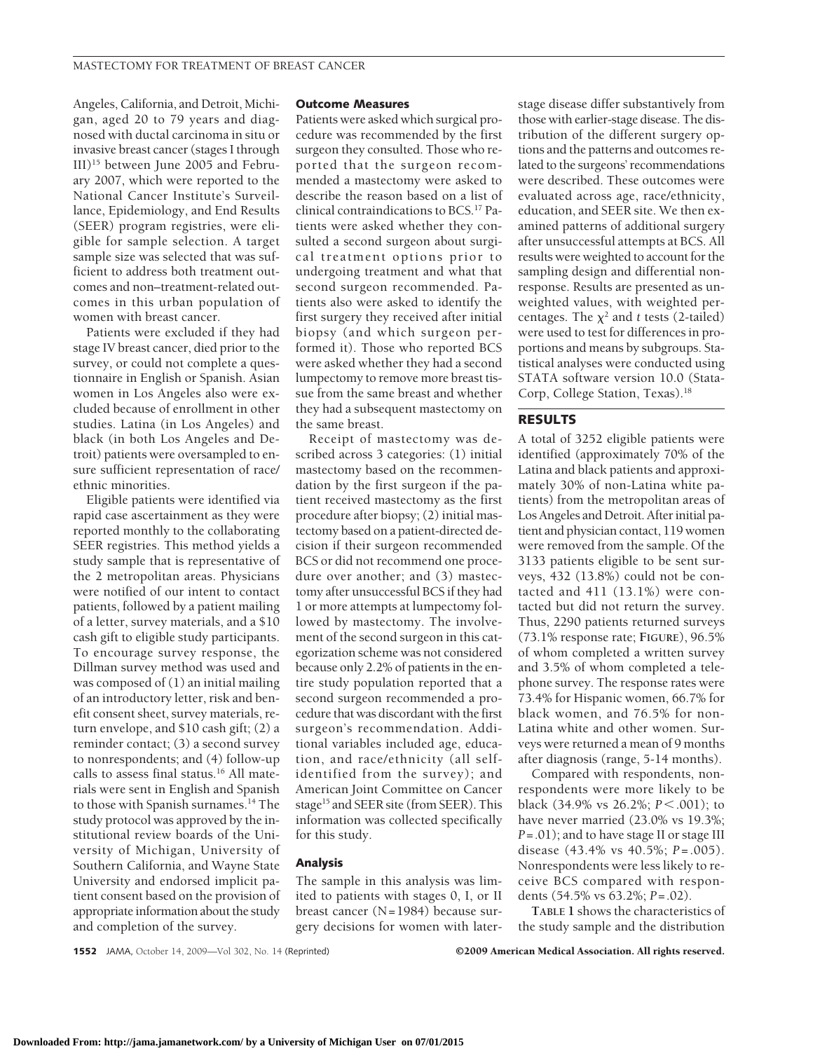Angeles, California, and Detroit, Michigan, aged 20 to 79 years and diagnosed with ductal carcinoma in situ or invasive breast cancer (stages I through III)15 between June 2005 and February 2007, which were reported to the National Cancer Institute's Surveillance, Epidemiology, and End Results (SEER) program registries, were eligible for sample selection. A target sample size was selected that was sufficient to address both treatment outcomes and non–treatment-related outcomes in this urban population of women with breast cancer.

Patients were excluded if they had stage IV breast cancer, died prior to the survey, or could not complete a questionnaire in English or Spanish. Asian women in Los Angeles also were excluded because of enrollment in other studies. Latina (in Los Angeles) and black (in both Los Angeles and Detroit) patients were oversampled to ensure sufficient representation of race/ ethnic minorities.

Eligible patients were identified via rapid case ascertainment as they were reported monthly to the collaborating SEER registries. This method yields a study sample that is representative of the 2 metropolitan areas. Physicians were notified of our intent to contact patients, followed by a patient mailing of a letter, survey materials, and a \$10 cash gift to eligible study participants. To encourage survey response, the Dillman survey method was used and was composed of (1) an initial mailing of an introductory letter, risk and benefit consent sheet, survey materials, return envelope, and \$10 cash gift; (2) a reminder contact; (3) a second survey to nonrespondents; and (4) follow-up calls to assess final status.<sup>16</sup> All materials were sent in English and Spanish to those with Spanish surnames.14 The study protocol was approved by the institutional review boards of the University of Michigan, University of Southern California, and Wayne State University and endorsed implicit patient consent based on the provision of appropriate information about the study and completion of the survey.

#### **Outcome Measures**

Patients were asked which surgical procedure was recommended by the first surgeon they consulted. Those who reported that the surgeon recommended a mastectomy were asked to describe the reason based on a list of clinical contraindications to BCS.17 Patients were asked whether they consulted a second surgeon about surgical treatment options prior to undergoing treatment and what that second surgeon recommended. Patients also were asked to identify the first surgery they received after initial biopsy (and which surgeon performed it). Those who reported BCS were asked whether they had a second lumpectomy to remove more breast tissue from the same breast and whether they had a subsequent mastectomy on the same breast.

Receipt of mastectomy was described across 3 categories: (1) initial mastectomy based on the recommendation by the first surgeon if the patient received mastectomy as the first procedure after biopsy; (2) initial mastectomy based on a patient-directed decision if their surgeon recommended BCS or did not recommend one procedure over another; and (3) mastectomy after unsuccessful BCS if they had 1 or more attempts at lumpectomy followed by mastectomy. The involvement of the second surgeon in this categorization scheme was not considered because only 2.2% of patients in the entire study population reported that a second surgeon recommended a procedure that was discordant with the first surgeon's recommendation. Additional variables included age, education, and race/ethnicity (all selfidentified from the survey); and American Joint Committee on Cancer stage<sup>15</sup> and SEER site (from SEER). This information was collected specifically for this study.

## **Analysis**

The sample in this analysis was limited to patients with stages 0, I, or II breast cancer (N=1984) because surgery decisions for women with later-

stage disease differ substantively from those with earlier-stage disease. The distribution of the different surgery options and the patterns and outcomes related to the surgeons' recommendations were described. These outcomes were evaluated across age, race/ethnicity, education, and SEER site. We then examined patterns of additional surgery after unsuccessful attempts at BCS. All results were weighted to account for the sampling design and differential nonresponse. Results are presented as unweighted values, with weighted percentages. The  $\chi^2$  and *t* tests (2-tailed) were used to test for differences in proportions and means by subgroups. Statistical analyses were conducted using STATA software version 10.0 (Stata-Corp, College Station, Texas).18

## **RESULTS**

A total of 3252 eligible patients were identified (approximately 70% of the Latina and black patients and approximately 30% of non-Latina white patients) from the metropolitan areas of Los Angeles and Detroit. After initial patient and physician contact, 119 women were removed from the sample. Of the 3133 patients eligible to be sent surveys, 432 (13.8%) could not be contacted and 411 (13.1%) were contacted but did not return the survey. Thus, 2290 patients returned surveys (73.1% response rate; **FIGURE**), 96.5% of whom completed a written survey and 3.5% of whom completed a telephone survey. The response rates were 73.4% for Hispanic women, 66.7% for black women, and 76.5% for non-Latina white and other women. Surveys were returned a mean of 9 months after diagnosis (range, 5-14 months).

Compared with respondents, nonrespondents were more likely to be black (34.9% vs 26.2%; *P*-.001); to have never married (23.0% vs 19.3%; *P*=.01); and to have stage II or stage III disease (43.4% vs 40.5%; *P*=.005). Nonrespondents were less likely to receive BCS compared with respondents (54.5% vs 63.2%; *P*=.02).

**TABLE 1** shows the characteristics of the study sample and the distribution

**1552** JAMA, October 14, 2009—Vol 302, No. 14 (Reprinted) ©2009 American Medical Association. All rights reserved.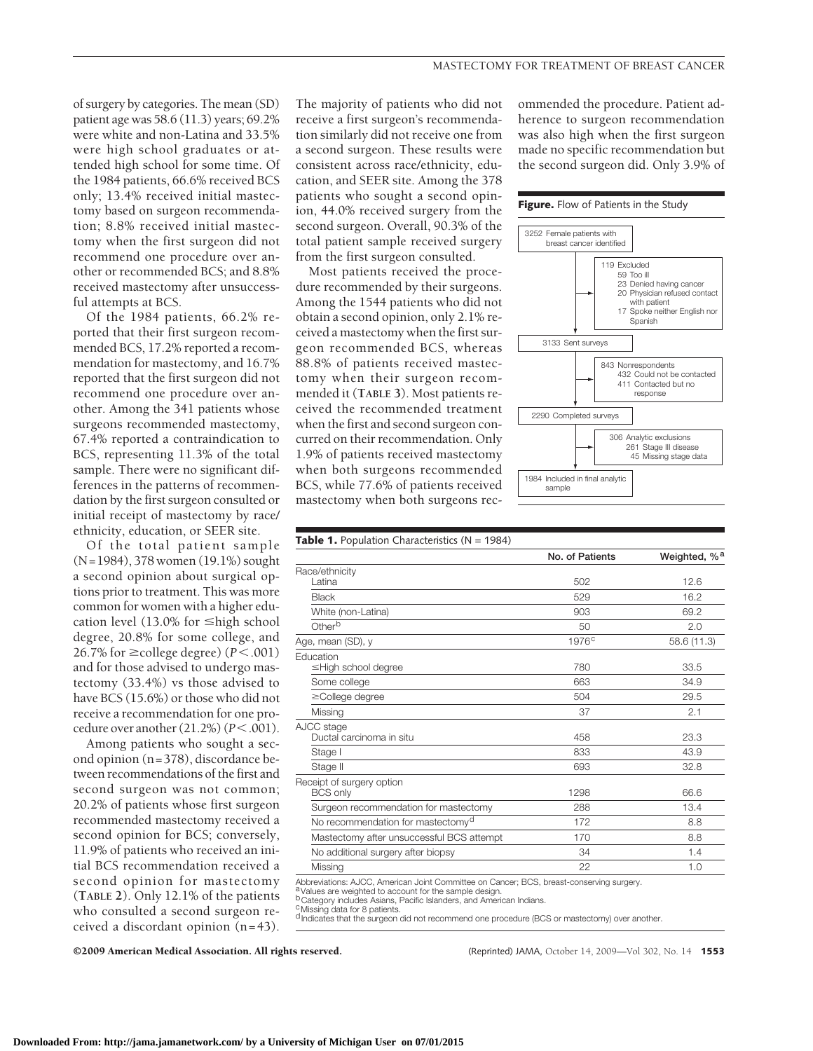of surgery by categories. The mean (SD) patient age was 58.6 (11.3) years; 69.2% were white and non-Latina and 33.5% were high school graduates or attended high school for some time. Of the 1984 patients, 66.6% received BCS only; 13.4% received initial mastectomy based on surgeon recommendation; 8.8% received initial mastectomy when the first surgeon did not recommend one procedure over another or recommended BCS; and 8.8% received mastectomy after unsuccessful attempts at BCS.

Of the 1984 patients, 66.2% reported that their first surgeon recommended BCS, 17.2% reported a recommendation for mastectomy, and 16.7% reported that the first surgeon did not recommend one procedure over another. Among the 341 patients whose surgeons recommended mastectomy, 67.4% reported a contraindication to BCS, representing 11.3% of the total sample. There were no significant differences in the patterns of recommendation by the first surgeon consulted or initial receipt of mastectomy by race/ ethnicity, education, or SEER site.

Of the total patient sample (N=1984), 378 women (19.1%) sought a second opinion about surgical options prior to treatment. This was more common for women with a higher education level (13.0% for  $\leq$ high school degree, 20.8% for some college, and 26.7% for  $\geq$  college degree) ( $P < .001$ ) and for those advised to undergo mastectomy (33.4%) vs those advised to have BCS (15.6%) or those who did not receive a recommendation for one procedure over another (21.2%) (*P*-.001).

Among patients who sought a second opinion (n=378), discordance between recommendations of the first and second surgeon was not common; 20.2% of patients whose first surgeon recommended mastectomy received a second opinion for BCS; conversely, 11.9% of patients who received an initial BCS recommendation received a second opinion for mastectomy (**TABLE 2**). Only 12.1% of the patients who consulted a second surgeon received a discordant opinion (n=43).

The majority of patients who did not receive a first surgeon's recommendation similarly did not receive one from a second surgeon. These results were consistent across race/ethnicity, education, and SEER site. Among the 378 patients who sought a second opinion, 44.0% received surgery from the second surgeon. Overall, 90.3% of the total patient sample received surgery from the first surgeon consulted.

Most patients received the procedure recommended by their surgeons. Among the 1544 patients who did not obtain a second opinion, only 2.1% received a mastectomy when the first surgeon recommended BCS, whereas 88.8% of patients received mastectomy when their surgeon recommended it (**TABLE 3**). Most patients received the recommended treatment when the first and second surgeon concurred on their recommendation. Only 1.9% of patients received mastectomy when both surgeons recommended BCS, while 77.6% of patients received mastectomy when both surgeons recommended the procedure. Patient adherence to surgeon recommendation was also high when the first surgeon made no specific recommendation but the second surgeon did. Only 3.9% of

#### **Figure.** Flow of Patients in the Study



|                                                                                                                                                                                                                                                   | No. of Patients   | Weighted, % <sup>a</sup> |
|---------------------------------------------------------------------------------------------------------------------------------------------------------------------------------------------------------------------------------------------------|-------------------|--------------------------|
| Race/ethnicity                                                                                                                                                                                                                                    |                   |                          |
| Latina                                                                                                                                                                                                                                            | 502               | 12.6                     |
| <b>Black</b>                                                                                                                                                                                                                                      | 529               | 16.2                     |
| White (non-Latina)                                                                                                                                                                                                                                | 903               | 69.2                     |
| Otherb                                                                                                                                                                                                                                            | 50                | 2.0                      |
| Age, mean (SD), y                                                                                                                                                                                                                                 | 1976 <sup>c</sup> | 58.6 (11.3)              |
| Education                                                                                                                                                                                                                                         |                   |                          |
| ≤High school degree                                                                                                                                                                                                                               | 780               | 33.5                     |
| Some college                                                                                                                                                                                                                                      | 663               | 34.9                     |
| ≥College degree                                                                                                                                                                                                                                   | 504               | 29.5                     |
| Missing                                                                                                                                                                                                                                           | 37                | 2.1                      |
| AJCC stage                                                                                                                                                                                                                                        |                   |                          |
| Ductal carcinoma in situ                                                                                                                                                                                                                          | 458               | 23.3                     |
| Stage I                                                                                                                                                                                                                                           | 833               | 43.9                     |
| Stage II                                                                                                                                                                                                                                          | 693               | 32.8                     |
| Receipt of surgery option                                                                                                                                                                                                                         |                   |                          |
| <b>BCS only</b>                                                                                                                                                                                                                                   | 1298              | 66.6                     |
| Surgeon recommendation for mastectomy                                                                                                                                                                                                             | 288               | 13.4                     |
| No recommendation for mastectomy <sup>d</sup>                                                                                                                                                                                                     | 172               | 8.8                      |
| Mastectomy after unsuccessful BCS attempt                                                                                                                                                                                                         | 170               | 8.8                      |
| No additional surgery after biopsy                                                                                                                                                                                                                | 34                | 1.4                      |
| Missing                                                                                                                                                                                                                                           | 22                | 1.0                      |
| Abbreviations: AJCC, American Joint Committee on Cancer; BCS, breast-conserving surgery.<br><sup>a</sup> Values are weighted to account for the sample design.<br><sup>b</sup> Category includes Asians, Pacific Islanders, and American Indians. |                   |                          |

c Missing data for 8 patients.<br><sup>d</sup> Indicates that the surgeon did not recommend one procedure (BCS or mastectomy) over another.

©2009 American Medical Association. All rights reserved. (Reprinted) JAMA, October 14, 2009—Vol 302, No. 14 **1553**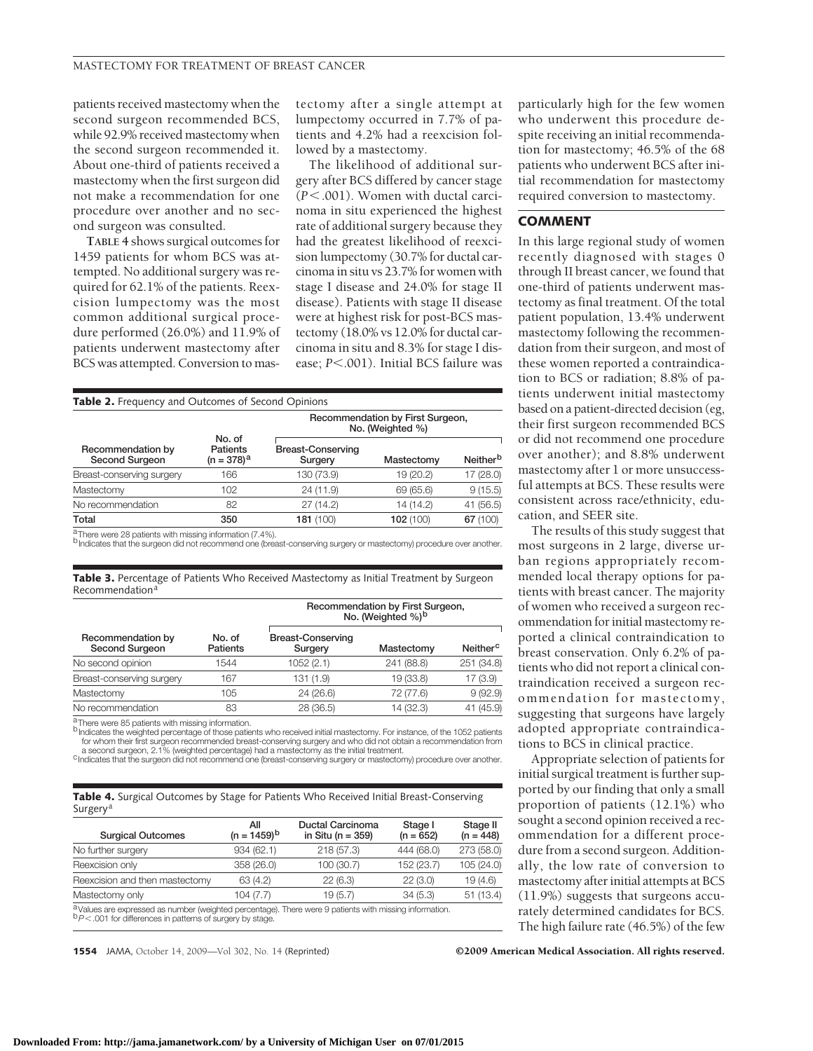patients received mastectomy when the second surgeon recommended BCS, while 92.9% received mastectomy when the second surgeon recommended it. About one-third of patients received a mastectomy when the first surgeon did not make a recommendation for one procedure over another and no second surgeon was consulted.

**TABLE 4** shows surgical outcomes for 1459 patients for whom BCS was attempted. No additional surgery was required for 62.1% of the patients. Reexcision lumpectomy was the most common additional surgical procedure performed (26.0%) and 11.9% of patients underwent mastectomy after BCS was attempted. Conversion to mastectomy after a single attempt at lumpectomy occurred in 7.7% of patients and 4.2% had a reexcision followed by a mastectomy.

The likelihood of additional surgery after BCS differed by cancer stage (*P*-.001). Women with ductal carcinoma in situ experienced the highest rate of additional surgery because they had the greatest likelihood of reexcision lumpectomy (30.7% for ductal carcinoma in situ vs 23.7% for women with stage I disease and 24.0% for stage II disease). Patients with stage II disease were at highest risk for post-BCS mastectomy (18.0% vs 12.0% for ductal carcinoma in situ and 8.3% for stage I disease; *P*<.001). Initial BCS failure was

**Recommendation by First Surgeon,**

| Recommendation by<br>Second Surgeon | No. of<br>Patients<br>$(n = 378)^a$ | Recommendation by First Surgeon,<br>No. (Weighted %) |            |                      |  |
|-------------------------------------|-------------------------------------|------------------------------------------------------|------------|----------------------|--|
|                                     |                                     | <b>Breast-Conserving</b><br>Surgery                  | Mastectomy | Neither <sup>b</sup> |  |
| Breast-conserving surgery           | 166                                 | 130 (73.9)                                           | 19 (20.2)  | 17 (28.0)            |  |
| Mastectomy                          | 102                                 | 24 (11.9)                                            | 69 (65.6)  | 9(15.5)              |  |
| No recommendation                   | 82                                  | 27(14.2)                                             | 14 (14.2)  | 41 (56.5)            |  |
| Total                               | 350                                 | 181(100)                                             | 102(100)   | 67 (100)             |  |

**Table 3.** Percentage of Patients Who Received Mastectomy as Initial Treatment by Surgeon  $Recommendation<sup>8</sup>$ 

| Recommendation by<br>Second Surgeon |                           | Recommendation by First Surgeon,<br>No. (Weighted $\%$ ) <sup>b</sup> |            |                      |  |
|-------------------------------------|---------------------------|-----------------------------------------------------------------------|------------|----------------------|--|
|                                     | No. of<br><b>Patients</b> | <b>Breast-Conserving</b><br>Surgery                                   | Mastectomy | Neither <sup>c</sup> |  |
| No second opinion                   | 1544                      | 1052 (2.1)                                                            | 241 (88.8) | 251 (34.8)           |  |
| Breast-conserving surgery           | 167                       | 131 (1.9)                                                             | 19 (33.8)  | 17(3.9)              |  |
| Mastectomy                          | 105                       | 24(26.6)                                                              | 72 (77.6)  | 9(92.9)              |  |
| No recommendation                   | 83                        | 28 (36.5)                                                             | 14 (32.3)  | 41 (45.9)            |  |

There were 85 patients with missing information.

b Indicates the weighted percentage of those patients who received initial mastectomy. For instance, of the 1052 patients for whom their first surgeon recommended breast-conserving surgery and who did not obtain a recommendation from<br>a second surgeon, 2.1% (weighted percentage) had a mastectomy as the initial treatment.

c Indicates that the surgeon did not recommend one (breast-conserving surgery or mastectomy) procedure over another.

**Table 4.** Surgical Outcomes by Stage for Patients Who Received Initial Breast-Conserving Surgery<sup>a</sup>

| <b>Surgical Outcomes</b>                                                                                                                                                              | All<br>$(n = 1459)^{b}$ | <b>Ductal Carcinoma</b><br>in Situ ( $n = 359$ ) | Stage I<br>$(n = 652)$ | Stage II<br>$(n = 448)$ |
|---------------------------------------------------------------------------------------------------------------------------------------------------------------------------------------|-------------------------|--------------------------------------------------|------------------------|-------------------------|
| No further surgery                                                                                                                                                                    | 934 (62.1)              | 218(57.3)                                        | 444 (68.0)             | 273 (58.0)              |
| Reexcision only                                                                                                                                                                       | 358 (26.0)              | 100 (30.7)                                       | 152 (23.7)             | 105 (24.0)              |
| Reexcision and then mastectomy                                                                                                                                                        | 63 (4.2)                | 22(6.3)                                          | 22(3.0)                | 19(4.6)                 |
| Mastectomy only                                                                                                                                                                       | 104(7.7)                | 19(5.7)                                          | 34(5.3)                | 51(13.4)                |
| <sup>a</sup> Values are expressed as number (weighted percentage). There were 9 patients with missing information.<br>$b$ $P$ < .001 for differences in patterns of surgery by stage. |                         |                                                  |                        |                         |

**1554** JAMA, October 14, 2009—Vol 302, No. 14 (Reprinted) ©2009 American Medical Association. All rights reserved.

particularly high for the few women who underwent this procedure despite receiving an initial recommendation for mastectomy; 46.5% of the 68 patients who underwent BCS after initial recommendation for mastectomy required conversion to mastectomy.

## **COMMENT**

In this large regional study of women recently diagnosed with stages 0 through II breast cancer, we found that one-third of patients underwent mastectomy as final treatment. Of the total patient population, 13.4% underwent mastectomy following the recommendation from their surgeon, and most of these women reported a contraindication to BCS or radiation; 8.8% of patients underwent initial mastectomy based on a patient-directed decision (eg, their first surgeon recommended BCS or did not recommend one procedure over another); and 8.8% underwent mastectomy after 1 or more unsuccessful attempts at BCS. These results were consistent across race/ethnicity, education, and SEER site.

The results of this study suggest that most surgeons in 2 large, diverse urban regions appropriately recommended local therapy options for patients with breast cancer. The majority of women who received a surgeon recommendation for initial mastectomy reported a clinical contraindication to breast conservation. Only 6.2% of patients who did not report a clinical contraindication received a surgeon recommendation for mastectomy, suggesting that surgeons have largely adopted appropriate contraindications to BCS in clinical practice.

Appropriate selection of patients for initial surgical treatment is further supported by our finding that only a small proportion of patients (12.1%) who sought a second opinion received a recommendation for a different procedure from a second surgeon. Additionally, the low rate of conversion to mastectomy after initial attempts at BCS (11.9%) suggests that surgeons accurately determined candidates for BCS. The high failure rate (46.5%) of the few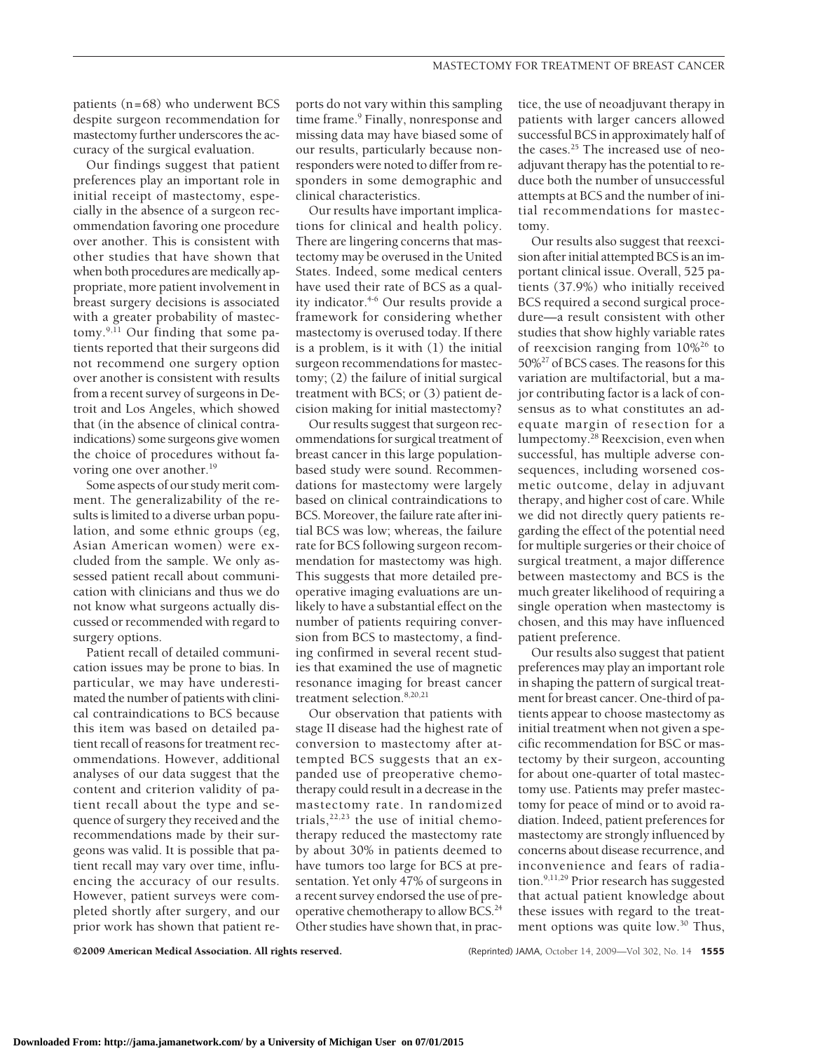patients (n=68) who underwent BCS despite surgeon recommendation for mastectomy further underscores the accuracy of the surgical evaluation.

Our findings suggest that patient preferences play an important role in initial receipt of mastectomy, especially in the absence of a surgeon recommendation favoring one procedure over another. This is consistent with other studies that have shown that when both procedures are medically appropriate, more patient involvement in breast surgery decisions is associated with a greater probability of mastectomy.9,11 Our finding that some patients reported that their surgeons did not recommend one surgery option over another is consistent with results from a recent survey of surgeons in Detroit and Los Angeles, which showed that (in the absence of clinical contraindications) some surgeons give women the choice of procedures without favoring one over another.<sup>19</sup>

Some aspects of our study merit comment. The generalizability of the results is limited to a diverse urban population, and some ethnic groups (eg, Asian American women) were excluded from the sample. We only assessed patient recall about communication with clinicians and thus we do not know what surgeons actually discussed or recommended with regard to surgery options.

Patient recall of detailed communication issues may be prone to bias. In particular, we may have underestimated the number of patients with clinical contraindications to BCS because this item was based on detailed patient recall of reasons for treatment recommendations. However, additional analyses of our data suggest that the content and criterion validity of patient recall about the type and sequence of surgery they received and the recommendations made by their surgeons was valid. It is possible that patient recall may vary over time, influencing the accuracy of our results. However, patient surveys were completed shortly after surgery, and our prior work has shown that patient reports do not vary within this sampling time frame.<sup>9</sup> Finally, nonresponse and missing data may have biased some of our results, particularly because nonresponders were noted to differ from responders in some demographic and clinical characteristics.

Our results have important implications for clinical and health policy. There are lingering concerns that mastectomy may be overused in the United States. Indeed, some medical centers have used their rate of BCS as a quality indicator.<sup>4-6</sup> Our results provide a framework for considering whether mastectomy is overused today. If there is a problem, is it with (1) the initial surgeon recommendations for mastectomy; (2) the failure of initial surgical treatment with BCS; or (3) patient decision making for initial mastectomy?

Our results suggest that surgeon recommendations for surgical treatment of breast cancer in this large populationbased study were sound. Recommendations for mastectomy were largely based on clinical contraindications to BCS. Moreover, the failure rate after initial BCS was low; whereas, the failure rate for BCS following surgeon recommendation for mastectomy was high. This suggests that more detailed preoperative imaging evaluations are unlikely to have a substantial effect on the number of patients requiring conversion from BCS to mastectomy, a finding confirmed in several recent studies that examined the use of magnetic resonance imaging for breast cancer treatment selection.<sup>8,20,21</sup>

Our observation that patients with stage II disease had the highest rate of conversion to mastectomy after attempted BCS suggests that an expanded use of preoperative chemotherapy could result in a decrease in the mastectomy rate. In randomized trials, $22,23$  the use of initial chemotherapy reduced the mastectomy rate by about 30% in patients deemed to have tumors too large for BCS at presentation. Yet only 47% of surgeons in a recent survey endorsed the use of preoperative chemotherapy to allow BCS.<sup>24</sup> Other studies have shown that, in prac-

tice, the use of neoadjuvant therapy in patients with larger cancers allowed successful BCS in approximately half of the cases.<sup>25</sup> The increased use of neoadjuvant therapy has the potential to reduce both the number of unsuccessful attempts at BCS and the number of initial recommendations for mastectomy.

Our results also suggest that reexcision after initial attempted BCS is an important clinical issue. Overall, 525 patients (37.9%) who initially received BCS required a second surgical procedure—a result consistent with other studies that show highly variable rates of reexcision ranging from 10%26 to 50%27 of BCS cases. The reasons for this variation are multifactorial, but a major contributing factor is a lack of consensus as to what constitutes an adequate margin of resection for a lumpectomy.28 Reexcision, even when successful, has multiple adverse consequences, including worsened cosmetic outcome, delay in adjuvant therapy, and higher cost of care. While we did not directly query patients regarding the effect of the potential need for multiple surgeries or their choice of surgical treatment, a major difference between mastectomy and BCS is the much greater likelihood of requiring a single operation when mastectomy is chosen, and this may have influenced patient preference.

Our results also suggest that patient preferences may play an important role in shaping the pattern of surgical treatment for breast cancer. One-third of patients appear to choose mastectomy as initial treatment when not given a specific recommendation for BSC or mastectomy by their surgeon, accounting for about one-quarter of total mastectomy use. Patients may prefer mastectomy for peace of mind or to avoid radiation. Indeed, patient preferences for mastectomy are strongly influenced by concerns about disease recurrence, and inconvenience and fears of radiation.9,11,29 Prior research has suggested that actual patient knowledge about these issues with regard to the treatment options was quite low.<sup>30</sup> Thus,

©2009 American Medical Association. All rights reserved. (Reprinted) JAMA, October 14, 2009—Vol 302, No. 14 **1555**